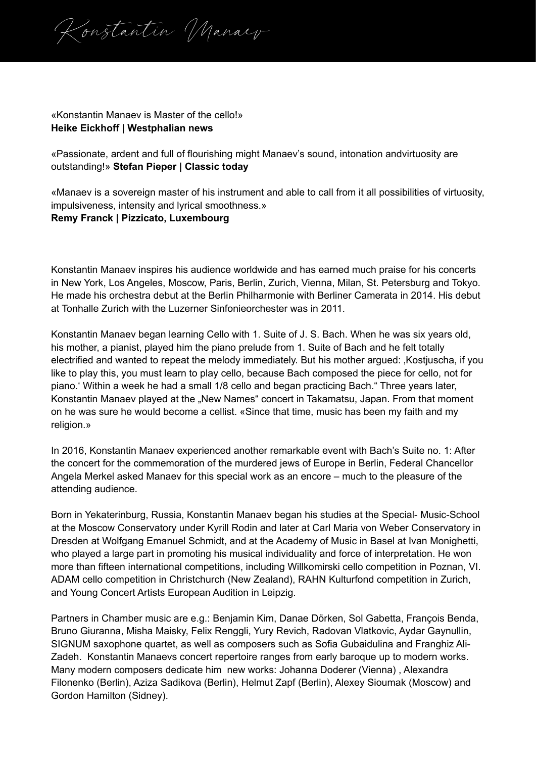Konstantin Manaev

## «Konstantin Manaev is Master of the cello!» **Heike Eickhoff | Westphalian news**

«Passionate, ardent and full of flourishing might Manaev's sound, intonation andvirtuosity are outstanding!» **Stefan Pieper | Classic today**

«Manaev is a sovereign master of his instrument and able to call from it all possibilities of virtuosity, impulsiveness, intensity and lyrical smoothness.»

## **Remy Franck | Pizzicato, Luxembourg**

Konstantin Manaev inspires his audience worldwide and has earned much praise for his concerts in New York, Los Angeles, Moscow, Paris, Berlin, Zurich, Vienna, Milan, St. Petersburg and Tokyo. He made his orchestra debut at the Berlin Philharmonie with Berliner Camerata in 2014. His debut at Tonhalle Zurich with the Luzerner Sinfonieorchester was in 2011.

Konstantin Manaev began learning Cello with 1. Suite of J. S. Bach. When he was six years old, his mother, a pianist, played him the piano prelude from 1. Suite of Bach and he felt totally electrified and wanted to repeat the melody immediately. But his mother argued: 'Kostjuscha, if you like to play this, you must learn to play cello, because Bach composed the piece for cello, not for piano.' Within a week he had a small 1/8 cello and began practicing Bach." Three years later, Konstantin Manaev played at the "New Names" concert in Takamatsu, Japan. From that moment on he was sure he would become a cellist. «Since that time, music has been my faith and my religion.»

In 2016, Konstantin Manaev experienced another remarkable event with Bach's Suite no. 1: After the concert for the commemoration of the murdered jews of Europe in Berlin, Federal Chancellor Angela Merkel asked Manaev for this special work as an encore – much to the pleasure of the attending audience.

Born in Yekaterinburg, Russia, Konstantin Manaev began his studies at the Special- Music-School at the Moscow Conservatory under Kyrill Rodin and later at Carl Maria von Weber Conservatory in Dresden at Wolfgang Emanuel Schmidt, and at the Academy of Music in Basel at Ivan Monighetti, who played a large part in promoting his musical individuality and force of interpretation. He won more than fifteen international competitions, including Willkomirski cello competition in Poznan, VI. ADAM cello competition in Christchurch (New Zealand), RAHN Kulturfond competition in Zurich, and Young Concert Artists European Audition in Leipzig.

Partners in Chamber music are e.g.: Benjamin Kim, Danae Dörken, Sol Gabetta, François Benda, Bruno Giuranna, Misha Maisky, Felix Renggli, Yury Revich, Radovan Vlatkovic, Aydar Gaynullin, SIGNUM saxophone quartet, as well as composers such as Sofia Gubaidulina and Franghiz Ali-Zadeh. Konstantin Manaevs concert repertoire ranges from early baroque up to modern works. Many modern composers dedicate him new works: Johanna Doderer (Vienna) , Alexandra Filonenko (Berlin), Aziza Sadikova (Berlin), Helmut Zapf (Berlin), Alexey Sioumak (Moscow) and Gordon Hamilton (Sidney).